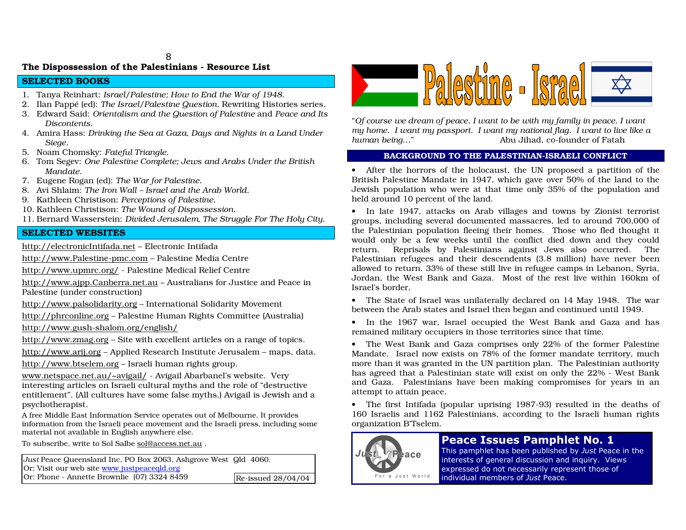# The Dispossession of the Palestinians - Resource List

# SELECTED BOOKS

- 1. Tany aReinhart: *Israel/P alestine; Ho w to End the War of 19 48.*
- 2. Ilan Pappé (ed): *The Israel/Palestine Question.* Rewriting Histories series.
- 3. Edward Said: *Orientalism and the Question of Palestine* and *Peace and Its Discontents.*
- 4. Amira Hass: Drinking the Sea at Gaza, Days and Nights in a Land Under *Sieg e.*
- 5. No a mCh o msky: *Fateful Tria ngle.*
- 6. Tom Segev: One Palestine Complete; Jews and Arabs Under the British *Mandate.*
- 7. Eu gene Ro g a n (ed): *The War for P ale stin e.*
- 8. Avi Shlaim: *The Iro nWall – Israel <sup>a</sup>nd the ArabWorld.*
- 9. KathleenChristison: *Perceptio nsof Palestine.*
- 10. Kathleen Christison: *The Wound of Dispossession.*
- 11. Bern ard Wasserstein: *Divid e d Jerus ale m, The Struggle For The Holy City.*

# SELECTED WEBSITES

<u>http://electronicIntifada.net</u> – Electronic Intifada

http://www.P alestine-p mc.com–Palestine MediaCentre

http://www.u p mrc.org/ - P alestine Medical Relief Centre

<u>http://www.ajpp.Canberra.net.au</u> – Australians for Justice and Peace in Palestine (u nder construction)

http://www.p alsolidarity.org – International Solidarity Movement

<u>http://phrconline.org</u> – Palestine Human Rights Committee (Australia)

http://www.g ush-sh alo m.org/en glish/

http://www.zm a g.org – Site with excellent articles <sup>o</sup> na ra nge of to pics.

<u>http://www.arij.org</u> – Applied Research Institute Jerusalem – maps, data. <u>http://www.btselem.org</u> – Israeli human rights group.

<u>www.netspace.net.au/~avigail/</u> - Avigail Abarbanel's website. Very interesting articles o n Israeli cultural myths <sup>a</sup> nd the role of "destructive entitlement". (All cultures have some false myths.) Avigail is Jewish and a psych othera pist.

A free Mid dle E ast Information Service operates out of Melbourne. It provides information from the Israeli peace movement <sup>a</sup> nd the Israeli press, inclu ding some material not av ailable inEnglish a nywhere else.

To subscribe, write to Sol S albe sol@access.net.au .

*Just* Peace Q ueensland Inc, P OBox2063, Ashgrove West Qld 4060. Or: Visit our web site <u>www.justpeaceqld.org</u> Or: Phone - Annette Brownlie (07) 3 3248459Re-issued 28/04/04



"Of course we dream of peace. I want to be with my family in peace. I want my home. I want my passport. I want my national flag. I want to live like a *h u ma n b eing* …"" Abu Jihad, co-founder of Fatah"

## BACKGROUND TO THE PALESTINIAN-ISRAELI CONFLICT

• After the horrors of the holocaust, the UN proposed a partition of the British Palestine Mandate in 1947, which gave over 50% of the land to the Jewish population who were at that time only 35% of the population and held aro u n d 10 percent of the la n d.

• In late 1947, attacks on Arab villages and towns by Zionist terrorist groups, including several documented massacres, led to around 700,000 of the Palestinian population fleeing their homes. Those who fled thought it would only be a few weeks until the conflict died down and they could return. Reprisals b y P alestinia ns a g ainst Jews also occurred. ThePalestinian refugees <sup>a</sup> nd their descendents (3.8 million) h ave never been allo wed to return. 3 3%of these still live in refugee ca mps in Leba no n, Syria, Jordan, the West B ankandGaza. Most of the rest live within 16 0kmofIsrael's border.

• The State of Israel was unilaterally declared on 14 May 1948. The war between the Ara b states <sup>a</sup> nd Israel thenbeg anand co ntinueduntil 1949.

• In the 1967 war, Israel occupied the West Bank and Gaza and has remained military occupiers in those territories since that time.

• The West Bank and Gaza comprises only 22% of the former Palestine Mandate. Israel now exists on 78% of the former mandate territory, much more than it was granted in the UN partition plan. The Palestinian authority has agreed that a Palestinian state will exist on only the 22% - West Bank and Gaza. Palestinians have been making compromises for years in an attempt to attain peace.

• The first Intifa d a (p o p ular u prisin g 19 8 7-9 3) resulted in the deaths of 160 Israelis and 1162 Palestinians, according to the Israeli human rights org a nizatio n B'Tselem.



# Peace Issues Pamphlet No. 1

This pamphlet has been published by Just Peace in the interests of general discussion and inquiry. Views expressed do not necessarily represent those of individual members of Just Peace.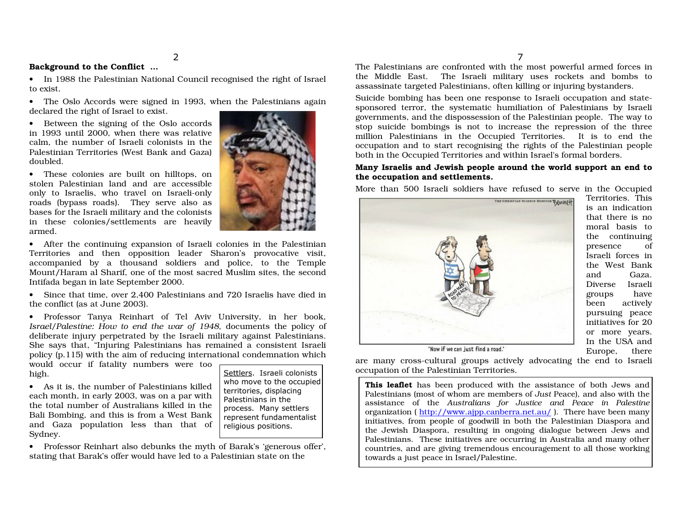### Background to the Conflict …

• In 1988 the Palestinian National Council recognised the right of Israel to exist.

• The Oslo Accords were sig ned in 19 9 3, <sup>w</sup> hen the P alestinia ns a g ain declared the rig ht of Israel to exist.

• Between the sig nin g of the Oslo accords in 19 93until 2000, <sup>w</sup> hen there <sup>w</sup>as relative calm, the <sup>n</sup> umber of Israeli colonists in the P alestinia n Territories (West B a n k a n d G aza) doubled.

• These colonies are built on hilltops, on stolen Palestinian land and are accessible o nly to Israelis, wh o travel <sup>o</sup> n Israeli-o nly ro a ds (by p ass ro a ds). They serve also as b ases for the Israeli military a n d the colo nists in these colo nies/settlements are heavily armed.



• After the continuing expansion of Israeli colonies in the Palestinian Territories and then opposition leader Sharon's provocative visit, accompanied by a thousand soldiers and police, to the Temple Mount/Haram al Sharif, one of the most sacred Muslim sites, the second Intifa d a beg a n in late Septem ber 2 0 0 0.

• Since that time, over 2,400 Palestinians and 720 Israelis have died in the conflict (as at J une 2003).

• Professor Tanya Reinhart of Tel Aviv University, in her book, *Israel/Palestine: How to end the war of 1948, documents the policy of* deliberate injury perpetrated by the Israeli military against Palestinians. She says th at, "Injurin g Palestinians has remaineda co nsistent Israeli policy (p.115) with the aim of reducing international condemnation which

w o uld occur if fatality n u mbers were to o hig h.

• As it is, the <sup>n</sup> umber of Palestinians killedeach month, in early 2003, was on a par with the total <sup>n</sup>umber of Australians killed in the Bali Bombing, <sup>a</sup> nd this is fro maWest Banka n d G aza p o p ulatio n less th a n th at of Sy dney.

Settlers. Israeli colonists who move to the occupied territories, displacing Palestinians in the process. Many settlers .<br>represent fundamentalist religious positions.

• Professor Reinhart also debunks the myth of Barak's 'generous offer', stating that Barak's offer would have led to a Palestinian state on the

 The P alestinia ns are co nfro nted with the <sup>m</sup>ost p o werful armed forces in the Middle East. The Israeli military uses rockets and bombs to assassinate targeted Palestinians, often killing or injuring bystanders.

Suicide bombing has beenone resp onse to Israeli occup ationand statesponsored terror, the systematic humiliation of Palestinians by Israeli governments, and the dispossession of the Palestinian people. The way to stop suicide bombings is not to increase the repression of the three million Palestinians in the Occupied Territories. It is to end the occupation and to start recognising the rights of the Palestinian people b oth in the Occu pied Territories a n d within Israel's form al b orders.

### Many Israelis and Jewish people around the world support an end to the occupation and settlements.

M ore th a n 5 0 0 Israeli soldiers h ave refused to serve in the Occu pied



Territories. Thisis an in dicationthat there is <sup>n</sup>omoral basis tothe co ntin uin g presence of Israeli forces inthe West BankandGaza.Diverse Israeli gro ups h have beenactively p ursuing peace initiatives for 20or more years. In the USA and Europe, there

'Now if we can just find a road.'

are m a ny cross-cultural gro u ps actively a d v ocatin g the en d to Israeli occu p ationof the PalestinianTerritories.

> **This leaflet** has been produced with the assistance of both Jews and Palestinians (most of whom are members of *Just* Peace), and also with the assistance of the *Australians for Justice andPe ace inPalestine* organization ( <u>http://www.ajpp.canberra.net.au/</u> ). There have been many initiatives, from people of goodwill in both the Palestinian Diaspora and the Jewish Diaspora, resulting in ongoing dialogue between Jews and Palestinians. These initiatives are occurring in Australia and many other countries, and are giving tremendous encouragement to all those working towards a just peace in Israel/P alestine.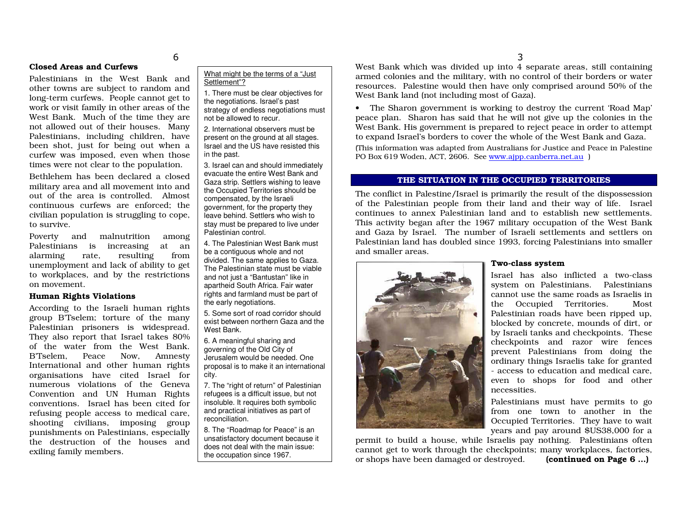## Closed Areas and Curfews

Palestinians in the West Bank and other towns are subject to ra ndomandlong-term curfews. Peo ple ca nnot get to work or visit fa mily in other areas of the West Bank. Much of the time they are not allowed out of their houses. Many Palestinians, inclu ding children, h ave been shot, just for being out when a curfew was imposed, even when those times were not clear to the p op ulation.

\$

Bethlehem has been declared a closed military area and all movement into and out of the area is co ntrolled. Almostcontinuous curfews are enforced; the civilia n p o p ulatio n is stru g glin g to co pe, to survive.

Poverty and malnutrition among Palestinians is increasing at analarminrate, resulting g fro mu nemplo y ment a n d lack of ability to get to w orkplaces, <sup>a</sup> n d b y the restrictio ns on movement.

## Hu ma n Rig hts Violatio ns

According to the Israeli human rights gro u p B'Tselem; torture of the <sup>m</sup> a ny P alestinia n priso ners is widesprea d. They also rep ort that Israel takes 80%of the water from the West B ank.B'Tselem, Peace Now. w, Am nesty International and other human rights org anisations have cited Israel for numerous violations of the Genev aConvention and UN Human Rights conventions. Israel has been cited for refusin g peo ple access to medical care, shooting civilians, imposing group p unishments onPalestinians, especially the destruction of the houses and exiling fa mily members.

What might be the terms of <sup>a</sup> "Just Settlement"?

1. There must be clear objectives for the negotiations. Israel's past strategy of endless negotiations must not be allowed to recur.

2. International observers must bepresent on the ground at all stages. Israel and the US have resisted this in the past.

3. Israel can and should immediately evacuate the entire West Bank and Gaza strip. Settlers wishing to leave the Occupied Territories should be compensated, by the Israeli government, for the property they leave behind. Settlers who wish to stay must be prepared to live under Palestinian control.

4. The Palestinian West Bank must be <sup>a</sup> contiguous whole and not divided. The same applies to Gaza. The Palestinian state must be viable and not just <sup>a</sup> "Bantustan" like in apartheid South Africa. Fair water rights and farmland must be part of the early negotiations.

5. Some sort of road corridor should exist between northern Gaza and the West Bank.

6. Ameaningful sharing and governing of the Old City of Jerusalemwould be needed. One proposal is to make it an international city.

7. The "right of return" of Palestinian refugees is <sup>a</sup> difficult issue, but not insoluble. It requires both symbolic and practical initiatives as part of reconciliation.

8. The "Roadmap for Peace" is an unsatisfactory document because it does not deal with the main issue: the occupation since 1967.

West Bank which was divided up into 4 separate areas, still containing armed colonies and the military, with no control of their borders or water reso urces. P alestine w o uld then h ave o nly co mprised aro u n d 5 0 % of the West Bank la nd (n ot including most of Gaza).

• The Sharon government is working to destroy the current 'Road Map' peace plan. Sharon has said that he will not give up the colonies in the West Bank. His g overnment is prep ared to reject peace in order toattempt to expand Israel's borders to cover the whole of the West Bank and Gaza.

(This information was adapted from Australians for Justice and Peace in Palestine .<br>PO Box 619 Woden, ACT, 2606. See <u>www.ajpp.canberra.net.au</u> )

#### THE SITUATION IN THE OCCUPIED TERRITORIES

The conflict in Palestine/Israel is primarily the result of the dispossession of the Palestinian people from their land and their way of life. Israel continues to annex Palestinian land and to establish new settlements. This activity began after the 1967 military occupation of the West Bank and Gaza by Israel. The number of Israeli settlements and settlers on Palestinian land has doubled since 1993, forcing Palestinians into smaller and smaller areas.



#### Two-class syste m

Israel has also inflicted a two-class system on Palestinians. Palestinians cannot use the same roads as Israelis inthe Occupied Territories. MostPalestinian ro ads have been rip ped up, blocked by concrete, mounds of dirt, or by Israeli tanks and checkpoints. These checkp oints a nd razor wire fences prevent Palestinians from doing the ordin ary thin gs Israelis ta ke for gra nted - access to ed ucatio n a n d medical care, even to shops for food and other necessities.

Palestinians must have permits to g ofrom one town to another in the Occu pied Territories. They h ave to w ait years <sup>a</sup> n d p ay aro u n d \$ U S 3 8,0 0 0 for <sup>a</sup>

permit to build a house, while Israelis pay nothing. Palestinians often cannot get to work thro ug h the check p oints; <sup>m</sup> any workplaces, factories, continued on Page 6 ...) or shops have been damaged or destroyed. **(c** 

3